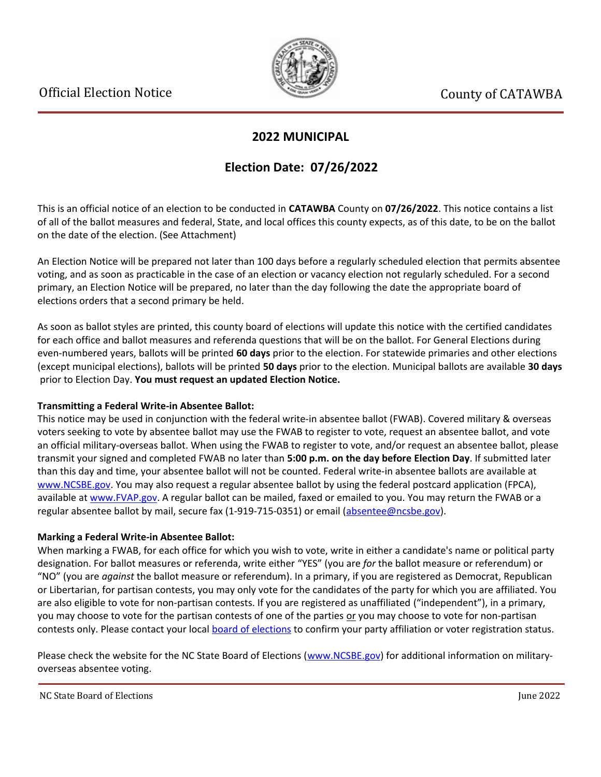

### **2022 MUNICIPAL**

## **Election Date: 07/26/2022**

This is an official notice of an election to be conducted in **CATAWBA** County on **07/26/2022**. This notice contains a list of all of the ballot measures and federal, State, and local offices this county expects, as of this date, to be on the ballot on the date of the election. (See Attachment)

An Election Notice will be prepared not later than 100 days before a regularly scheduled election that permits absentee voting, and as soon as practicable in the case of an election or vacancy election not regularly scheduled. For a second primary, an Election Notice will be prepared, no later than the day following the date the appropriate board of elections orders that a second primary be held.

As soon as ballot styles are printed, this county board of elections will update this notice with the certified candidates for each office and ballot measures and referenda questions that will be on the ballot. For General Elections during even-numbered years, ballots will be printed **60 days** prior to the election. For statewide primaries and other elections (except municipal elections), ballots will be printed **50 days** prior to the election. Municipal ballots are available **30 days** prior to Election Day. **You must request an updated Election Notice.**

#### **Transmitting a Federal Write-in Absentee Ballot:**

This notice may be used in conjunction with the federal write-in absentee ballot (FWAB). Covered military & overseas voters seeking to vote by absentee ballot may use the FWAB to register to vote, request an absentee ballot, and vote an official military-overseas ballot. When using the FWAB to register to vote, and/or request an absentee ballot, please transmit your signed and completed FWAB no later than **5:00 p.m. on the day before Election Day**. If submitted later than this day and time, your absentee ballot will not be counted. Federal write-in absentee ballots are available at [www.NCSBE.gov.](https://www.ncsbe.gov/) You may also request a regular absentee ballot by using the federal postcard application (FPCA), available at [www.FVAP.gov](https://www.fvap.gov/). A regular ballot can be mailed, faxed or emailed to you. You may return the FWAB or a regular absentee ballot by mail, secure fax (1-919-715-0351) or email (absentee@ncsbe.gov).

#### **Marking a Federal Write-in Absentee Ballot:**

When marking a FWAB, for each office for which you wish to vote, write in either a candidate's name or political party designation. For ballot measures or referenda, write either "YES" (you are *for* the ballot measure or referendum) or "NO" (you are *against* the ballot measure or referendum). In a primary, if you are registered as Democrat, Republican or Libertarian, for partisan contests, you may only vote for the candidates of the party for which you are affiliated. You are also eligible to vote for non-partisan contests. If you are registered as unaffiliated ("independent"), in a primary, you may choose to vote for the partisan contests of one of the parties or you may choose to vote for non-partisan contests only. Please contact your local [board of elections](https://vt.ncsbe.gov/BOEInfo/) to confirm your party affiliation or voter registration status.

Please check the website for the NC State Board of Elections ([www.NCSBE.gov\)](https://www.ncsbe.gov/) for additional information on militaryoverseas absentee voting.